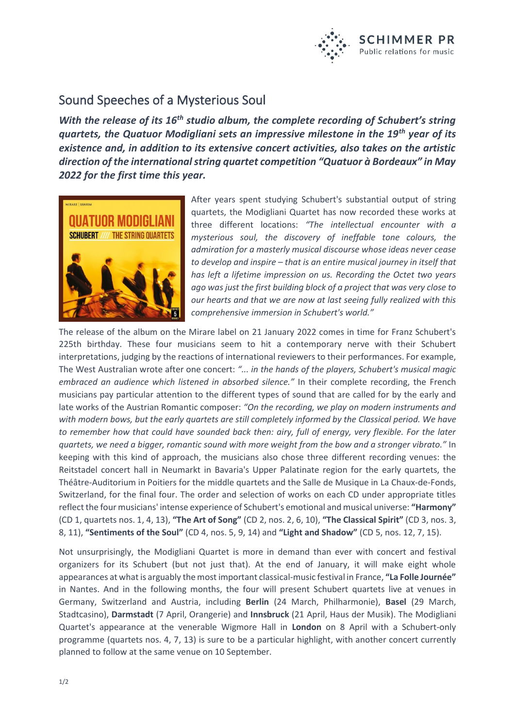

## Sound Speeches of a Mysterious Soul

*With the release of its 16th studio album, the complete recording of Schubert's string quartets, the Quatuor Modigliani sets an impressive milestone in the 19th year of its existence and, in addition to its extensive concert activities, also takes on the artistic direction of the international string quartet competition "Quatuor à Bordeaux" in May 2022 for the first time this year.*



After years spent studying Schubert's substantial output of string quartets, the Modigliani Quartet has now recorded these works at three different locations: *"The intellectual encounter with a mysterious soul, the discovery of ineffable tone colours, the admiration for a masterly musical discourse whose ideas never cease to develop and inspire – that is an entire musical journey in itself that has left a lifetime impression on us. Recording the Octet two years ago was just the first building block of a project that was very close to our hearts and that we are now at last seeing fully realized with this comprehensive immersion in Schubert's world."*

The release of the album on the Mirare label on 21 January 2022 comes in time for Franz Schubert's 225th birthday. These four musicians seem to hit a contemporary nerve with their Schubert interpretations, judging by the reactions of international reviewers to their performances. For example, The West Australian wrote after one concert: *"... in the hands of the players, Schubert's musical magic embraced an audience which listened in absorbed silence."* In their complete recording, the French musicians pay particular attention to the different types of sound that are called for by the early and late works of the Austrian Romantic composer: *"On the recording, we play on modern instruments and with modern bows, but the early quartets are still completely informed by the Classical period. We have to remember how that could have sounded back then: airy, full of energy, very flexible. For the later quartets, we need a bigger, romantic sound with more weight from the bow and a stronger vibrato."* In keeping with this kind of approach, the musicians also chose three different recording venues: the Reitstadel concert hall in Neumarkt in Bavaria's Upper Palatinate region for the early quartets, the Théâtre-Auditorium in Poitiers for the middle quartets and the Salle de Musique in La Chaux-de-Fonds, Switzerland, for the final four. The order and selection of works on each CD under appropriate titles reflect the four musicians' intense experience of Schubert's emotional and musical universe: **"Harmony"** (CD 1, quartets nos. 1, 4, 13), **"The Art of Song"** (CD 2, nos. 2, 6, 10), **"The Classical Spirit"** (CD 3, nos. 3, 8, 11), **"Sentiments of the Soul"** (CD 4, nos. 5, 9, 14) and **"Light and Shadow"** (CD 5, nos. 12, 7, 15).

Not unsurprisingly, the Modigliani Quartet is more in demand than ever with concert and festival organizers for its Schubert (but not just that). At the end of January, it will make eight whole appearances at what is arguably the most important classical-music festival in France, **"La Folle Journée"** in Nantes. And in the following months, the four will present Schubert quartets live at venues in Germany, Switzerland and Austria, including **Berlin** (24 March, Philharmonie), **Basel** (29 March, Stadtcasino), **Darmstadt** (7 April, Orangerie) and **Innsbruck** (21 April, Haus der Musik). The Modigliani Quartet's appearance at the venerable Wigmore Hall in **London** on 8 April with a Schubert-only programme (quartets nos. 4, 7, 13) is sure to be a particular highlight, with another concert currently planned to follow at the same venue on 10 September.